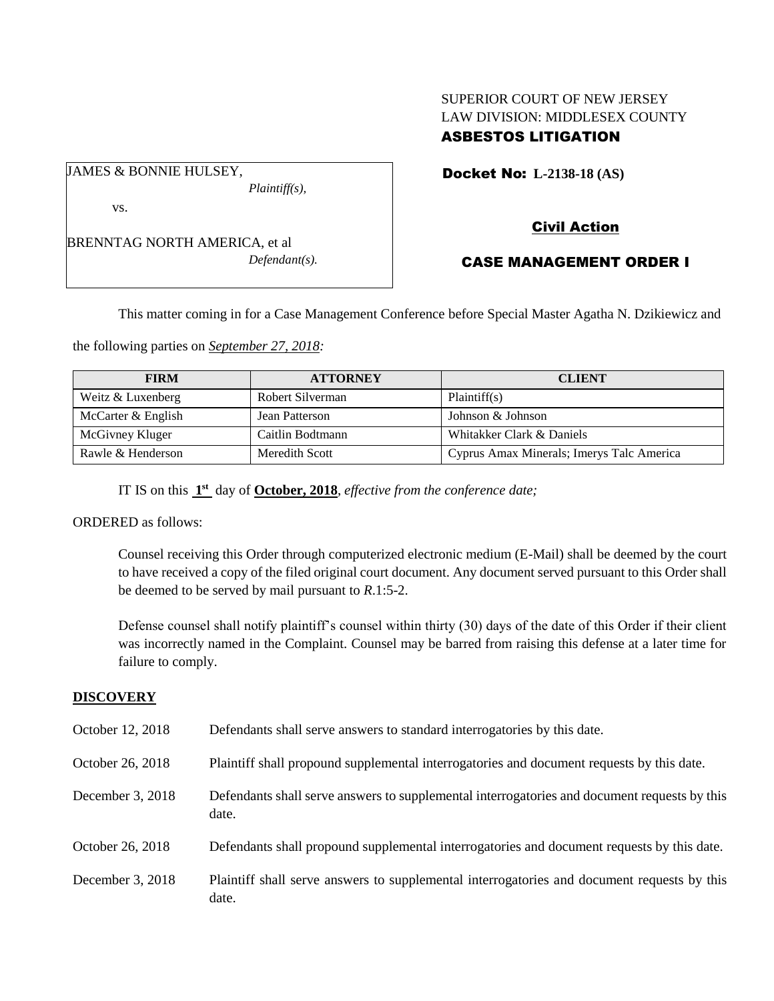# SUPERIOR COURT OF NEW JERSEY LAW DIVISION: MIDDLESEX COUNTY ASBESTOS LITIGATION

Docket No: **L-2138-18 (AS)** 

vs.

JAMES & BONNIE HULSEY,

BRENNTAG NORTH AMERICA, et al *Defendant(s).*

*Plaintiff(s),*

Civil Action

# CASE MANAGEMENT ORDER I

This matter coming in for a Case Management Conference before Special Master Agatha N. Dzikiewicz and

the following parties on *September 27, 2018:*

| <b>FIRM</b>        | <b>ATTORNEY</b>  | <b>CLIENT</b>                             |
|--------------------|------------------|-------------------------------------------|
| Weitz & Luxenberg  | Robert Silverman | Plaintiff(s)                              |
| McCarter & English | Jean Patterson   | Johnson & Johnson                         |
| McGivney Kluger    | Caitlin Bodtmann | Whitakker Clark & Daniels                 |
| Rawle & Henderson  | Meredith Scott   | Cyprus Amax Minerals; Imerys Talc America |

IT IS on this  $1<sup>st</sup>$  day of **October, 2018**, *effective from the conference date*;

ORDERED as follows:

Counsel receiving this Order through computerized electronic medium (E-Mail) shall be deemed by the court to have received a copy of the filed original court document. Any document served pursuant to this Order shall be deemed to be served by mail pursuant to *R*.1:5-2.

Defense counsel shall notify plaintiff's counsel within thirty (30) days of the date of this Order if their client was incorrectly named in the Complaint. Counsel may be barred from raising this defense at a later time for failure to comply.

## **DISCOVERY**

| October 12, 2018 | Defendants shall serve answers to standard interrogatories by this date.                              |
|------------------|-------------------------------------------------------------------------------------------------------|
| October 26, 2018 | Plaintiff shall propound supplemental interrogatories and document requests by this date.             |
| December 3, 2018 | Defendants shall serve answers to supplemental interrogatories and document requests by this<br>date. |
| October 26, 2018 | Defendants shall propound supplemental interrogatories and document requests by this date.            |
| December 3, 2018 | Plaintiff shall serve answers to supplemental interrogatories and document requests by this<br>date.  |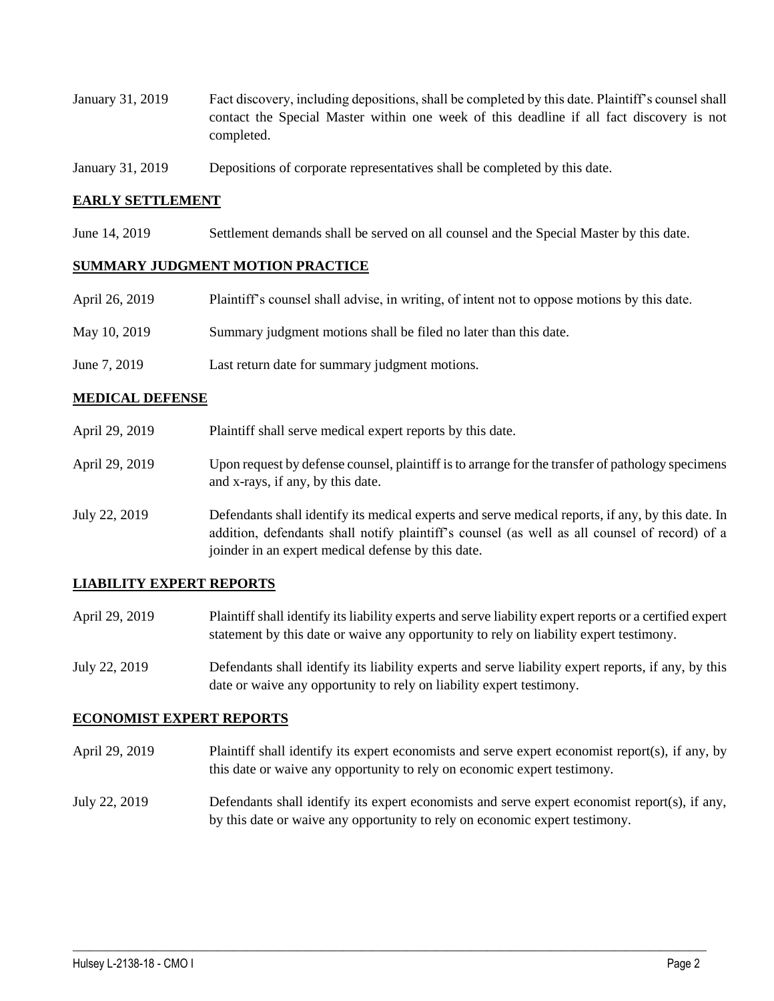- January 31, 2019 Fact discovery, including depositions, shall be completed by this date. Plaintiff's counsel shall contact the Special Master within one week of this deadline if all fact discovery is not completed.
- January 31, 2019 Depositions of corporate representatives shall be completed by this date.

### **EARLY SETTLEMENT**

June 14, 2019 Settlement demands shall be served on all counsel and the Special Master by this date.

#### **SUMMARY JUDGMENT MOTION PRACTICE**

| April 26, 2019 | Plaintiff's counsel shall advise, in writing, of intent not to oppose motions by this date. |
|----------------|---------------------------------------------------------------------------------------------|
| May 10, 2019   | Summary judgment motions shall be filed no later than this date.                            |
| June 7, 2019   | Last return date for summary judgment motions.                                              |

#### **MEDICAL DEFENSE**

- April 29, 2019 Plaintiff shall serve medical expert reports by this date.
- April 29, 2019 Upon request by defense counsel, plaintiff is to arrange for the transfer of pathology specimens and x-rays, if any, by this date.
- July 22, 2019 Defendants shall identify its medical experts and serve medical reports, if any, by this date. In addition, defendants shall notify plaintiff's counsel (as well as all counsel of record) of a joinder in an expert medical defense by this date.

### **LIABILITY EXPERT REPORTS**

- April 29, 2019 Plaintiff shall identify its liability experts and serve liability expert reports or a certified expert statement by this date or waive any opportunity to rely on liability expert testimony.
- July 22, 2019 Defendants shall identify its liability experts and serve liability expert reports, if any, by this date or waive any opportunity to rely on liability expert testimony.

#### **ECONOMIST EXPERT REPORTS**

- April 29, 2019 Plaintiff shall identify its expert economists and serve expert economist report(s), if any, by this date or waive any opportunity to rely on economic expert testimony.
- July 22, 2019 Defendants shall identify its expert economists and serve expert economist report(s), if any, by this date or waive any opportunity to rely on economic expert testimony.

 $\_$  ,  $\_$  ,  $\_$  ,  $\_$  ,  $\_$  ,  $\_$  ,  $\_$  ,  $\_$  ,  $\_$  ,  $\_$  ,  $\_$  ,  $\_$  ,  $\_$  ,  $\_$  ,  $\_$  ,  $\_$  ,  $\_$  ,  $\_$  ,  $\_$  ,  $\_$  ,  $\_$  ,  $\_$  ,  $\_$  ,  $\_$  ,  $\_$  ,  $\_$  ,  $\_$  ,  $\_$  ,  $\_$  ,  $\_$  ,  $\_$  ,  $\_$  ,  $\_$  ,  $\_$  ,  $\_$  ,  $\_$  ,  $\_$  ,